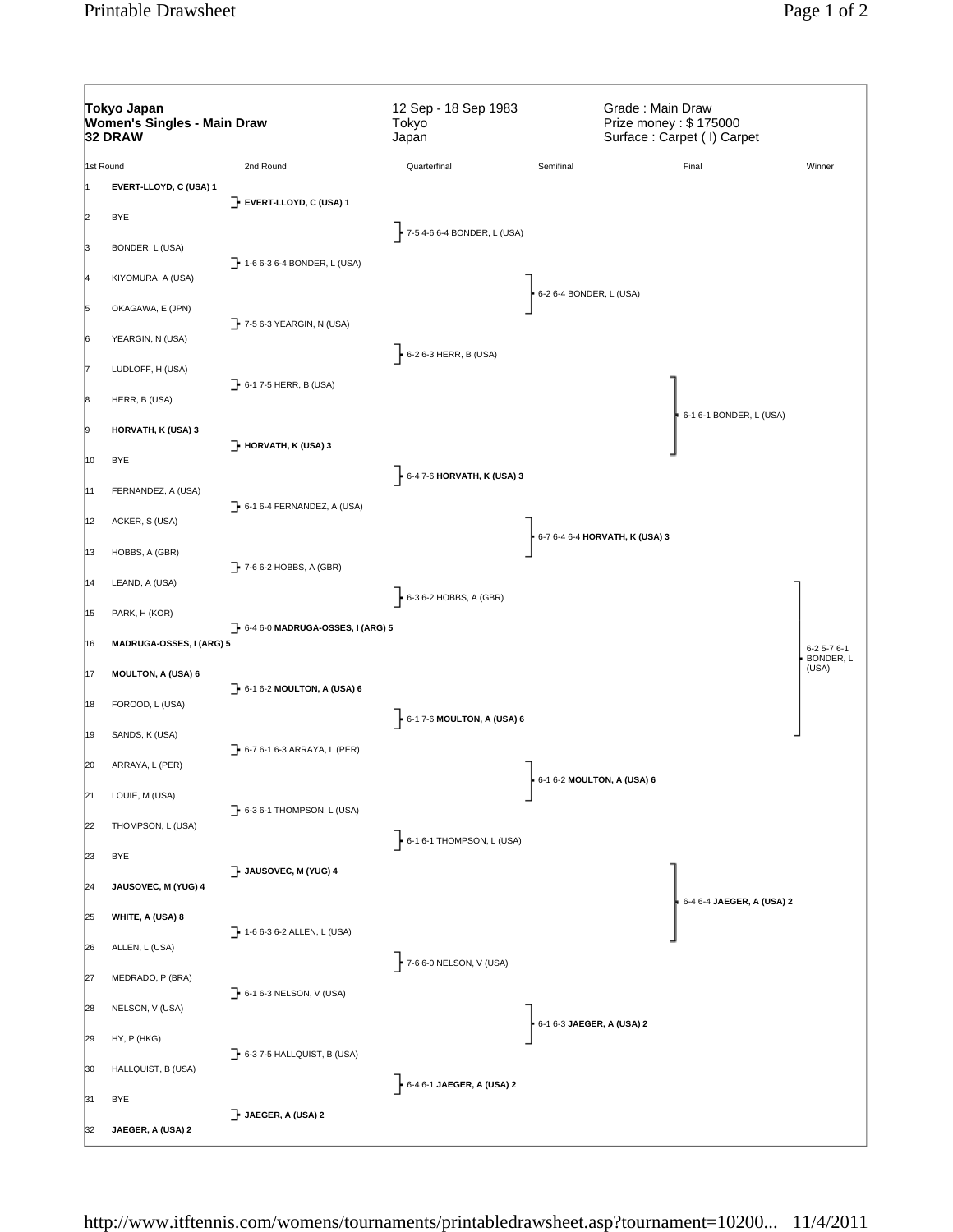